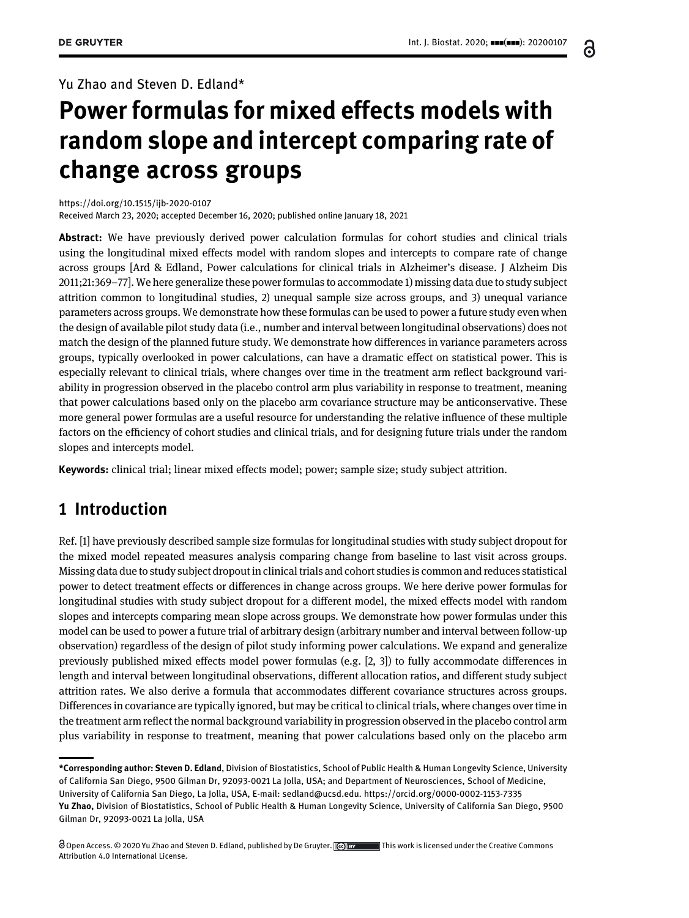Yu Zhao and Steven D. Edland\*

# Power formulas for mixed effects models with random slope and intercept comparing rate of change across groups

<https://doi.org/10.1515/ijb-2020-0107>

Received March 23, 2020; accepted December 16, 2020; published online January 18, 2021

Abstract: We have previously derived power calculation formulas for cohort studies and clinical trials using the longitudinal mixed effects model with random slopes and intercepts to compare rate of change across groups [Ard & Edland, Power calculations for clinical trials in Alzheimer's disease. J Alzheim Dis 2011;21:369–77]. We here generalize these power formulas to accommodate 1) missing data due to study subject attrition common to longitudinal studies, 2) unequal sample size across groups, and 3) unequal variance parameters across groups. We demonstrate how these formulas can be used to power a future study even when the design of available pilot study data (i.e., number and interval between longitudinal observations) does not match the design of the planned future study. We demonstrate how differences in variance parameters across groups, typically overlooked in power calculations, can have a dramatic effect on statistical power. This is especially relevant to clinical trials, where changes over time in the treatment arm reflect background variability in progression observed in the placebo control arm plus variability in response to treatment, meaning that power calculations based only on the placebo arm covariance structure may be anticonservative. These more general power formulas are a useful resource for understanding the relative influence of these multiple factors on the efficiency of cohort studies and clinical trials, and for designing future trials under the random slopes and intercepts model.

Keywords: clinical trial; linear mixed effects model; power; sample size; study subject attrition.

### 1 Introduction

Ref. [\[1](#page-8-0)] have previously described sample size formulas for longitudinal studies with study subject dropout for the mixed model repeated measures analysis comparing change from baseline to last visit across groups. Missing data due to study subject dropout in clinical trials and cohort studies is common and reduces statistical power to detect treatment effects or differences in change across groups. We here derive power formulas for longitudinal studies with study subject dropout for a different model, the mixed effects model with random slopes and intercepts comparing mean slope across groups. We demonstrate how power formulas under this model can be used to power a future trial of arbitrary design (arbitrary number and interval between follow-up observation) regardless of the design of pilot study informing power calculations. We expand and generalize previously published mixed effects model power formulas (e.g. [\[2, 3\]](#page-8-1)) to fully accommodate differences in length and interval between longitudinal observations, different allocation ratios, and different study subject attrition rates. We also derive a formula that accommodates different covariance structures across groups. Differences in covariance are typically ignored, but may be critical to clinical trials, where changes over time in the treatment arm reflect the normal background variability in progression observed in the placebo control arm plus variability in response to treatment, meaning that power calculations based only on the placebo arm

6

<sup>\*</sup>Corresponding author: Steven D. Edland, Division of Biostatistics, School of Public Health & Human Longevity Science, University of California San Diego, 9500 Gilman Dr, 92093-0021 La Jolla, USA; and Department of Neurosciences, School of Medicine, University of California San Diego, La Jolla, USA, E-mail: [sedland@ucsd.edu](mailto:sedland@ucsd.edu).<https://orcid.org/0000-0002-1153-7335> Yu Zhao, Division of Biostatistics, School of Public Health & Human Longevity Science, University of California San Diego, 9500 Gilman Dr, 92093-0021 La Jolla, USA

O Open Access. © 2020 Yu Zhao and Steven D. Edland, published by De Gruyter. (ce) BY This work is licensed under the Creative Commons Attribution 4.0 International License.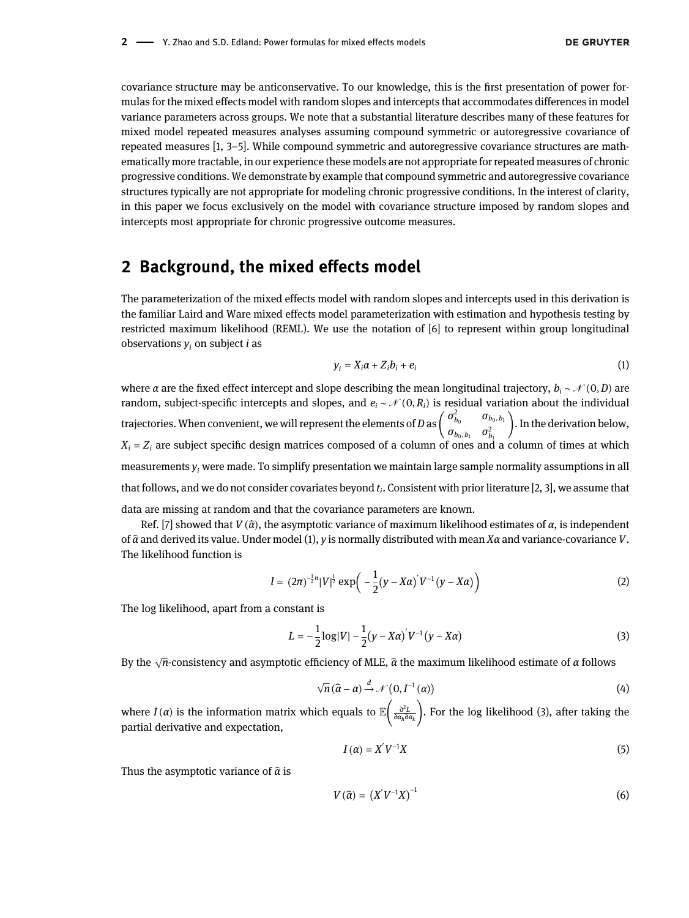covariance structure may be anticonservative. To our knowledge, this is the first presentation of power formulas for the mixed effects model with random slopes and intercepts that accommodates differences in model variance parameters across groups. We note that a substantial literature describes many of these features for mixed model repeated measures analyses assuming compound symmetric or autoregressive covariance of repeated measures [[1, 3](#page-8-0)–5]. While compound symmetric and autoregressive covariance structures are mathematically more tractable, in our experience these models are not appropriate for repeated measures of chronic progressive conditions. We demonstrate by example that compound symmetric and autoregressive covariance structures typically are not appropriate for modeling chronic progressive conditions. In the interest of clarity, in this paper we focus exclusively on the model with covariance structure imposed by random slopes and intercepts most appropriate for chronic progressive outcome measures.

### 2 Background, the mixed effects model

The parameterization of the mixed effects model with random slopes and intercepts used in this derivation is the familiar Laird and Ware mixed effects model parameterization with estimation and hypothesis testing by restricted maximum likelihood (REML). We use the notation of [\[6](#page-8-2)] to represent within group longitudinal observations  $y_i$  on subject *i* as

$$
y_i = X_i \alpha + Z_i b_i + e_i \tag{1}
$$

<span id="page-1-0"></span>where *α* are the fixed effect intercept and slope describing the mean longitudinal trajectory,  $b_i \sim \mathcal{N}(0, D)$  are random, subject-specific intercepts and slopes, and  $e_i \sim \mathcal{N}(0, R_i)$  is residual variation about the i random, subject-specific intercepts and slopes, and  $e_i \sim \mathcal{N}(0, R_i)$  is residual variation about the individual trajectories. When convenient, we will represent the elements of D as  $\begin{pmatrix} \sigma_{b_0}^2 & \sigma_{b_0,b_1} \\ \sigma_{\cdot} & \sigma_{\cdot} \end{pmatrix}$  $\sigma_{b_0, b_1}$   $\sigma_{b_1}^2$   $\sigma_{b_1}^2$ . In the derivation below,  $X_i = Z_i$  are subject specific design matrices composed of a column of ones and a column of times at which measurements  $y_i$  were made. To simplify presentation we maintain large sample normality assumptions in all that follows, and we do not consider covariates beyond  $t_i$ . Consistent with prior literature [\[2, 3](#page-8-1)], we assume that data are missing at random and that the covariance parameters are known.

Ref. [\[7\]](#page-8-3) showed that  $V(\hat{\alpha})$ , the asymptotic variance of maximum likelihood estimates of  $\alpha$ , is independent of  $\hat{\alpha}$  and derived its value. Under model [\(1\)](#page-1-0), y is normally distributed with mean Xa and variance-covariance V. The likelihood function is

$$
l = (2\pi)^{-\frac{1}{2}n} |V|^{\frac{1}{2}} \exp\left(-\frac{1}{2}(y - X\alpha)^{2} V^{-1} (y - X\alpha)\right)
$$
 (2)

<span id="page-1-1"></span>The log likelihood, apart from a constant is

$$
L = -\frac{1}{2}\log|V| - \frac{1}{2}(y - X\alpha)^{2}V^{-1}(y - X\alpha)
$$
\n(3)

By the  $\sqrt{n}$  consistency and asymptotic efficiency of MLE,  $\widehat{\alpha}$  the maximum likelihood estimate of  $\alpha$  follows

$$
\sqrt{n}(\hat{\alpha}-\alpha) \stackrel{d}{\rightarrow} \mathcal{N}(0,I^{-1}(\alpha))
$$
\n(4)

where  $I(\alpha)$  is the information matrix which equals to  $\mathbb{E}\Big(\frac{\partial^2 L}{\partial a_h\partial a_k}\Big)$ . For the log likelihood [\(3\),](#page-1-1) after taking the partial derivative and expectation,

$$
I(\alpha) = X'V^{-1}X \tag{5}
$$

Thus the asymptotic variance of  $\hat{\alpha}$  is

$$
V\left(\widehat{\alpha}\right) = \left(X^{'}V^{-1}X\right)^{-1} \tag{6}
$$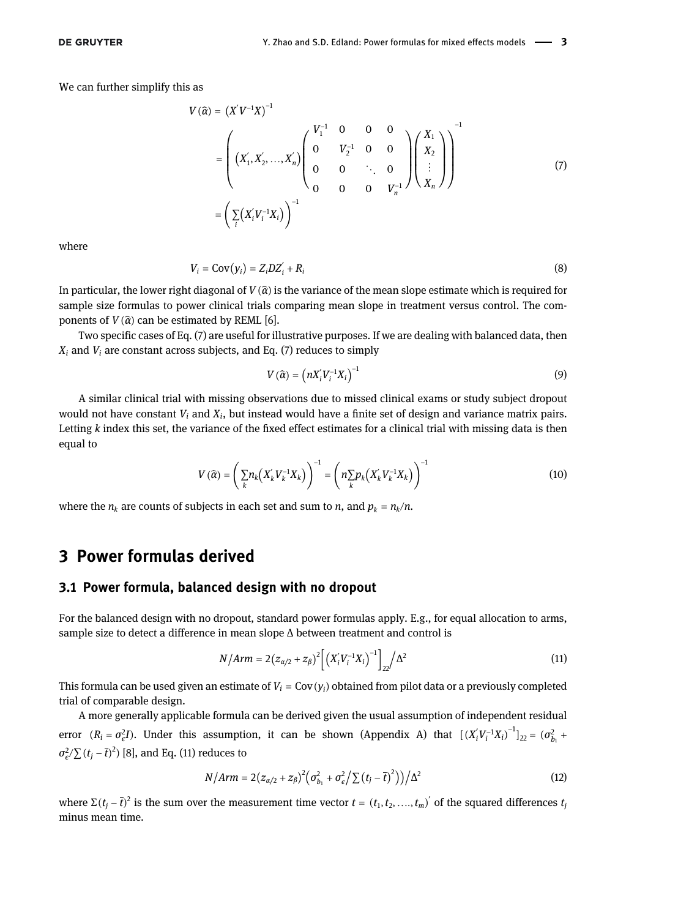<span id="page-2-0"></span>We can further simplify this as

$$
V(\hat{\alpha}) = (X'V^{-1}X)^{-1}
$$
  
= 
$$
\begin{pmatrix} (X'_1, X'_2, ..., X'_n) \begin{pmatrix} V_1^{-1} & 0 & 0 & 0 \\ 0 & V_2^{-1} & 0 & 0 \\ 0 & 0 & \ddots & 0 \\ 0 & 0 & 0 & V_n^{-1} \end{pmatrix} \begin{pmatrix} X_1 \\ X_2 \\ \vdots \\ X_n \end{pmatrix}
$$
  
= 
$$
\left(\sum_i (X'_i V_i^{-1} X_i)\right)^{-1}
$$
 (7)

where

$$
V_i = \text{Cov}(y_i) = Z_i D Z_i' + R_i \tag{8}
$$

In particular, the lower right diagonal of  $V(\hat{\alpha})$  is the variance of the mean slope estimate which is required for sample size formulas to power clinical trials comparing mean slope in treatment versus control. The components of  $V(\hat{\alpha})$  can be estimated by REML [[6](#page-8-2)].

Two specific cases of [Eq. \(7\)](#page-2-0) are useful for illustrative purposes. If we are dealing with balanced data, then  $X_i$  and  $V_i$  are constant across subjects, and [Eq. \(7\)](#page-2-0) reduces to simply

$$
V(\widehat{\alpha}) = \left(nX_i'V_i^{-1}X_i\right)^{-1} \tag{9}
$$

A similar clinical trial with missing observations due to missed clinical exams or study subject dropout would not have constant  $V_i$  and  $X_i$ , but instead would have a finite set of design and variance matrix pairs. Letting  $k$  index this set, the variance of the fixed effect estimates for a clinical trial with missing data is then equal to

$$
V\left(\widehat{\alpha}\right) = \left(\sum_{k} n_k \left(X_{k}^{'} V_{k}^{-1} X_{k}\right)\right)^{-1} = \left(n \sum_{k} p_k \left(X_{k}^{'} V_{k}^{-1} X_{k}\right)\right)^{-1} \tag{10}
$$

<span id="page-2-3"></span>where the  $n_k$  are counts of subjects in each set and sum to *n*, and  $p_k = n_k/n$ .

# 3 Power formulas derived

#### 3.1 Power formula, balanced design with no dropout

<span id="page-2-1"></span>For the balanced design with no dropout, standard power formulas apply. E.g., for equal allocation to arms, sample size to detect a difference in mean slope Δ between treatment and control is

$$
N/Arm = 2(z_{\alpha/2} + z_{\beta})^2 \left[ \left( X_i' V_i^{-1} X_i \right)^{-1} \right]_{22} / \Delta^2 \tag{11}
$$

This formula can be used given an estimate of  $V_i$  = Cov( $y_i$ ) obtained from pilot data or a previously completed trial of comparable design.

<span id="page-2-2"></span>A more generally applicable formula can be derived given the usual assumption of independent residual error  $(R_i = \sigma_\epsilon^2 I)$ . Under this assumption, it can be shown (Appendix A) that  $[(X_i V_i^{-1} X_i)^{-1}]_{22} = (\sigma_{b_1}^2 + \sigma_b^2 I)_{32}$  $\sigma_{\epsilon}^2/\sum (t_j - \overline{t})^2)$  [[8\]](#page-8-4), and [Eq. \(11\)](#page-2-1) reduces to

$$
N/Arm = 2(z_{\alpha/2} + z_{\beta})^2 (\sigma_{b_1}^2 + \sigma_{\epsilon}^2 / \sum (t_j - \overline{t})^2) / \Delta^2
$$
 (12)

where  $\Sigma(t_j - \bar{t})^2$  is the sum over the measurement time vector  $t = (t_1, t_2, ..., t_m)'$  of the squared differences  $t_j$ minus mean time.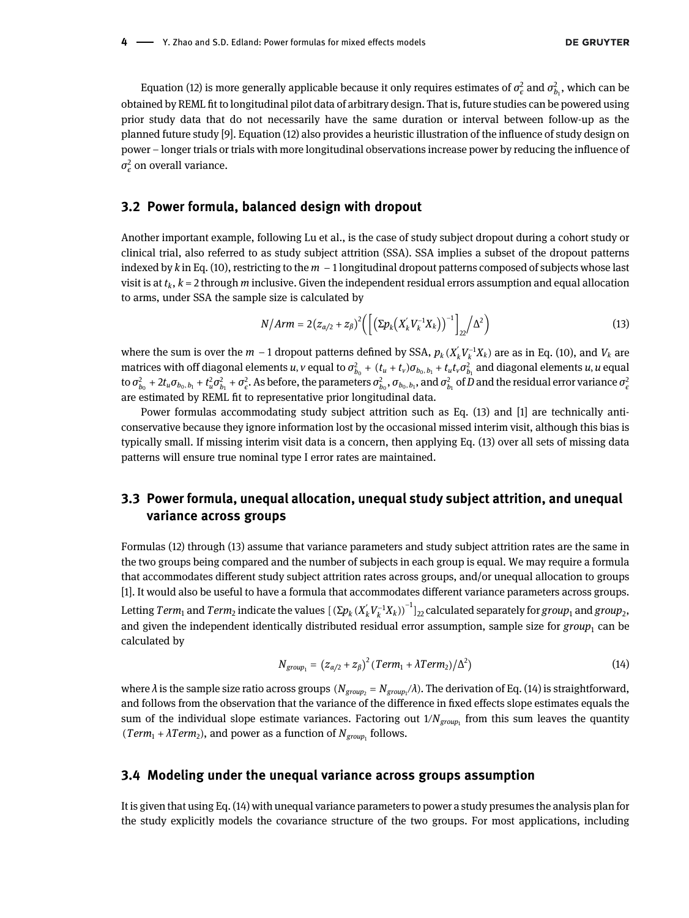[Equation \(12\)](#page-2-2) is more generally applicable because it only requires estimates of  $\sigma_e^2$  and  $\sigma_{b_1}^2$ , which can be obtained by REML fit to longitudinal pilot data of arbitrary design. That is, future studies can be powered using prior study data that do not necessarily have the same duration or interval between follow-up as the planned future study [[9\]](#page-8-5). [Equation \(12\)](#page-2-2) also provides a heuristic illustration of the influence of study design on power – longer trials or trials with more longitudinal observations increase power by reducing the influence of  $\sigma_{\epsilon}^2$  on overall variance.

#### 3.2 Power formula, balanced design with dropout

Another important example, following Lu et al., is the case of study subject dropout during a cohort study or clinical trial, also referred to as study subject attrition (SSA). SSA implies a subset of the dropout patterns indexed by k in [Eq. \(10\)](#page-2-3), restricting to the  $m - 1$  longitudinal dropout patterns composed of subjects whose last visit is at  $t_k$ ,  $k = 2$  through m inclusive. Given the independent residual errors assumption and equal allocation to arms, under SSA the sample size is calculated by

$$
N/Arm = 2(z_{\alpha/2} + z_{\beta})^2 \Big( \Big[ \big( \Sigma p_k \big( X'_k V_k^{-1} X_k \big) \big)^{-1} \Big]_{22} / \Delta^2 \Big) \tag{13}
$$

<span id="page-3-0"></span>where the sum is over the  $m-1$  dropout patterns defined by SSA,  $p_k(X'_kV_k^{-1}X_k)$  are as in [Eq. \(10\),](#page-2-3) and  $V_k$  are matrices with off diagonal elements  $u$ ,  $v$  equal to  $\sigma_{b_0}^2 + (t_u+t_v)\sigma_{b_0,b_1}+t_u t_v\sigma_{b_1}^2$  and diagonal elements  $u$ ,  $u$  equal to  $\sigma^2_{b_0}+2t_u\sigma_{b_0,b_1}+t_u^2\sigma^2_{b_1}+\sigma^2_\epsilon.$  As before, the parameters  $\sigma^2_{b_0},\sigma_{b_0,b_1},$  and  $\sigma^2_{b_1}$  of  $D$  and the residual error variance  $\sigma^2_\epsilon$ are estimated by REML fit to representative prior longitudinal data.

Power formulas accommodating study subject attrition such as [Eq. \(13\)](#page-3-0) and [[1](#page-8-0)] are technically anticonservative because they ignore information lost by the occasional missed interim visit, although this bias is typically small. If missing interim visit data is a concern, then applying [Eq. \(13\)](#page-3-0) over all sets of missing data patterns will ensure true nominal type I error rates are maintained.

#### 3.3 Power formula, unequal allocation, unequal study subject attrition, and unequal variance across groups

[Formulas \(12\) through \(13\)](#page-2-2) assume that variance parameters and study subject attrition rates are the same in the two groups being compared and the number of subjects in each group is equal. We may require a formula that accommodates different study subject attrition rates across groups, and/or unequal allocation to groups [[1](#page-8-0)]. It would also be useful to have a formula that accommodates different variance parameters across groups.

<span id="page-3-1"></span>Letting  $Term_1$  and  $Term_2$  indicate the values  $[(\Sigma p_k(X_k'V_k^{-1}X_k))^{-1}]_{22}$  calculated separately for  $group_1$  and  $group_2,$ and given the independent identically distributed residual error assumption, sample size for group<sub>1</sub> can be calculated by

$$
N_{group_1} = (z_{\alpha/2} + z_{\beta})^2 (Term_1 + \lambda Term_2) / \Delta^2)
$$
 (14)

where  $\lambda$  is the sample size ratio across groups  $(N_{group_2}=N_{group_1}/\lambda).$  The derivation of [Eq. \(14\)](#page-3-1) is straightforward, and follows from the observation that the variance of the difference in fixed effects slope estimates equals the sum of the individual slope estimate variances. Factoring out  $1/N_{group}$  from this sum leaves the quantity  $(Term_1 + \lambda Term_2)$ , and power as a function of  $N_{group_1}$  follows.

#### 3.4 Modeling under the unequal variance across groups assumption

It is given that using [Eq. \(14\)](#page-3-1) with unequal variance parameters to power a study presumes the analysis plan for the study explicitly models the covariance structure of the two groups. For most applications, including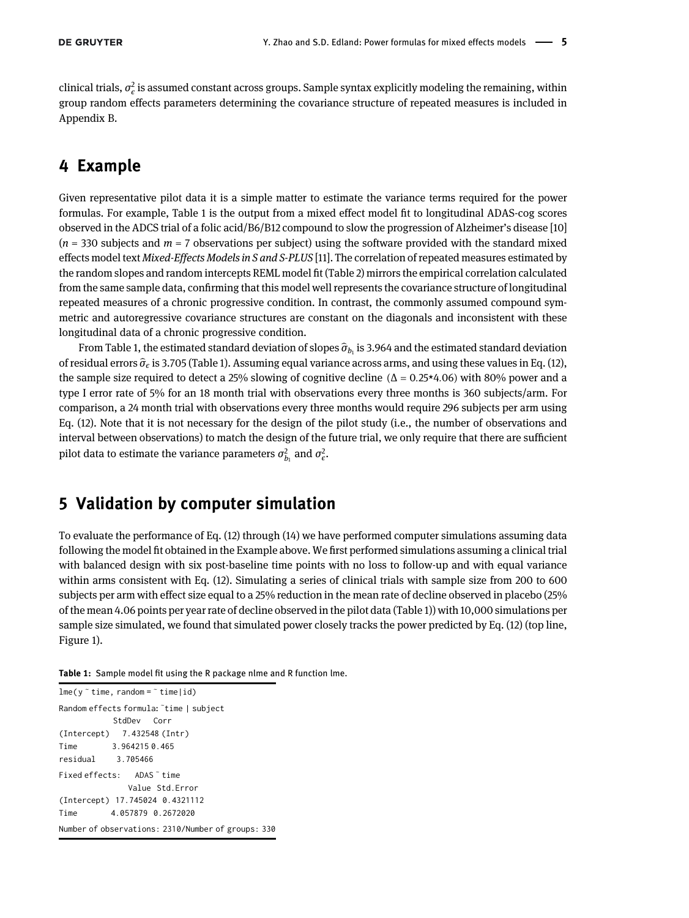clinical trials,  $\sigma_{\epsilon}^2$  is assumed constant across groups. Sample syntax explicitly modeling the remaining, within group random effects parameters determining the covariance structure of repeated measures is included in Appendix B.

### 4 Example

Given representative pilot data it is a simple matter to estimate the variance terms required for the power formulas. For example, [Table 1](#page-4-0) is the output from a mixed effect model fit to longitudinal ADAS-cog scores observed in the ADCS trial of a folic acid/B6/B12 compound to slow the progression of Alzheimer's disease [\[10\]](#page-8-6)  $(n = 330$  subjects and  $m = 7$  observations per subject) using the software provided with the standard mixed effects model text Mixed-Effects Models in S and S-PLUS [\[11\]](#page-8-7). The correlation of repeated measures estimated by the random slopes and random intercepts REML model fit ([Table 2](#page-5-0)) mirrors the empirical correlation calculated from the same sample data, confirming that this model well represents the covariance structure of longitudinal repeated measures of a chronic progressive condition. In contrast, the commonly assumed compound symmetric and autoregressive covariance structures are constant on the diagonals and inconsistent with these longitudinal data of a chronic progressive condition.

From [Table 1](#page-4-0), the estimated standard deviation of slopes  $\hat{\sigma}_{b_1}$  is 3.964 and the estimated standard deviation of residual errors  $\hat{\sigma}_{\epsilon}$  is 3.705 ([Table 1](#page-4-0)). Assuming equal variance across arms, and using these values in [Eq. \(12\),](#page-2-2) the sample size required to detect a 25% slowing of cognitive decline ( $\Delta = 0.25*4.06$ ) with 80% power and a type I error rate of 5% for an 18 month trial with observations every three months is 360 subjects/arm. For comparison, a 24 month trial with observations every three months would require 296 subjects per arm using [Eq. \(12\).](#page-2-2) Note that it is not necessary for the design of the pilot study (i.e., the number of observations and interval between observations) to match the design of the future trial, we only require that there are sufficient pilot data to estimate the variance parameters  $\sigma_{b_1}^2$  and  $\sigma_{\epsilon}^2$ .

## 5 Validation by computer simulation

To evaluate the performance of [Eq. \(12\)](#page-2-2) through [\(14\)](#page-3-1) we have performed computer simulations assuming data following the model fit obtained in the Example above. We first performed simulations assuming a clinical trial with balanced design with six post-baseline time points with no loss to follow-up and with equal variance within arms consistent with [Eq. \(12\)](#page-2-2). Simulating a series of clinical trials with sample size from 200 to 600 subjects per arm with effect size equal to a 25% reduction in the mean rate of decline observed in placebo (25% of the mean 4.06 points per year rate of decline observed in the pilot data ([Table 1\)](#page-4-0)) with 10,000 simulations per sample size simulated, we found that simulated power closely tracks the power predicted by [Eq. \(12\)](#page-2-2) (top line, [Figure 1](#page-5-1)).

<span id="page-4-0"></span>Table 1: Sample model fit using the R package nlme and R function lme.

lme(y <sup>∼</sup> time, random = <sup>∼</sup> time|id) Random effects formula: <sup>∼</sup> time | subject StdDev Corr (Intercept) 7.432548 (Intr) Time 3.964215 0.465 residual 3.705466 Fixed effects: ADAS <sup>∼</sup> time Value Std.Error (Intercept) 17.745024 0.4321112 Time 4.057879 0.2672020 Number of observations: 2310/Number of groups: 330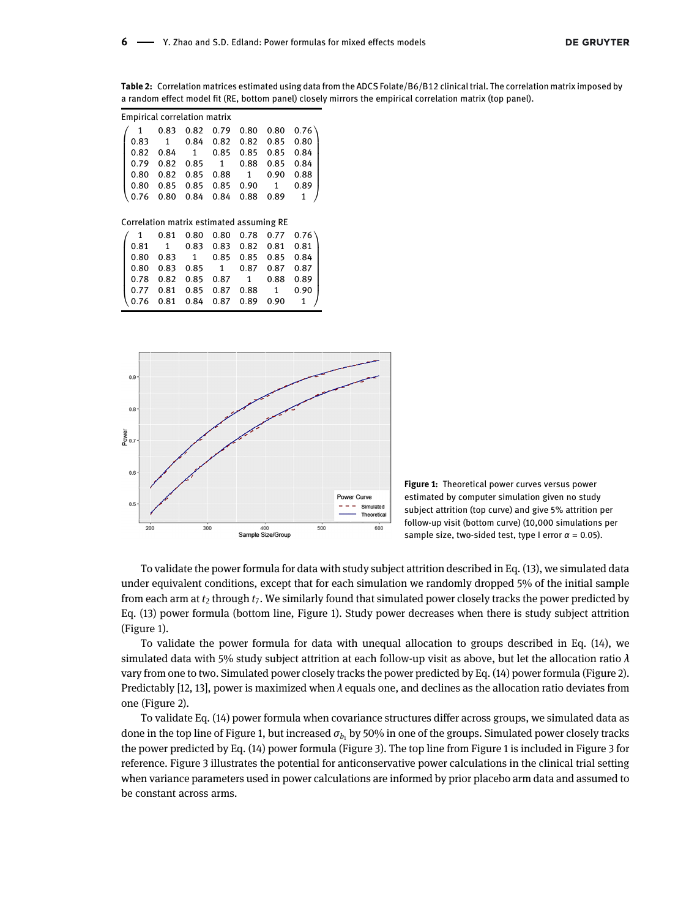<span id="page-5-0"></span>Table 2: Correlation matrices estimated using data from the ADCS Folate/B6/B12 clinical trial. The correlation matrix imposed by a random effect model fit (RE, bottom panel) closely mirrors the empirical correlation matrix (top panel).

| <b>Empirical correlation matrix</b> |                                                                                                       |  |  |  |  |  |                                                                                                                              |  |  |  |  |
|-------------------------------------|-------------------------------------------------------------------------------------------------------|--|--|--|--|--|------------------------------------------------------------------------------------------------------------------------------|--|--|--|--|
|                                     |                                                                                                       |  |  |  |  |  |                                                                                                                              |  |  |  |  |
|                                     |                                                                                                       |  |  |  |  |  | $\begin{pmatrix} 1 & 0.83 & 0.82 & 0.79 & 0.80 & 0.80 & 0.76 \\ 0.83 & 1 & 0.84 & 0.82 & 0.82 & 0.85 & 0.80 \end{pmatrix}$   |  |  |  |  |
|                                     |                                                                                                       |  |  |  |  |  | $\begin{array}{cccc} 0.82 & 0.84 & 1 & 0.85 & 0.85 & 0.85 & 0.84 \\ 0.79 & 0.82 & 0.85 & 1 & 0.88 & 0.85 & 0.84 \end{array}$ |  |  |  |  |
|                                     |                                                                                                       |  |  |  |  |  |                                                                                                                              |  |  |  |  |
|                                     |                                                                                                       |  |  |  |  |  |                                                                                                                              |  |  |  |  |
|                                     |                                                                                                       |  |  |  |  |  |                                                                                                                              |  |  |  |  |
|                                     | 0.80 0.82 0.85 0.88 1 0.90 0.88<br>0.80 0.85 0.85 0.85 0.90 1 0.89<br>0.76 0.80 0.84 0.84 0.88 0.89 1 |  |  |  |  |  |                                                                                                                              |  |  |  |  |

Correlation matrix estimated assuming RE

|                                                                                                                                                                                                                                                                     |  |  | $1$ 0.81 0.80 0.80 0.78 0.77 0.76 |
|---------------------------------------------------------------------------------------------------------------------------------------------------------------------------------------------------------------------------------------------------------------------|--|--|-----------------------------------|
|                                                                                                                                                                                                                                                                     |  |  | $0.81$ 1 0.83 0.83 0.82 0.81 0.81 |
|                                                                                                                                                                                                                                                                     |  |  |                                   |
|                                                                                                                                                                                                                                                                     |  |  |                                   |
|                                                                                                                                                                                                                                                                     |  |  |                                   |
|                                                                                                                                                                                                                                                                     |  |  |                                   |
| $\begin{pmatrix} 0.80 & 0.83 & 1 & 0.85 & 0.85 & 0.85 & 0.84 \ 0.80 & 0.83 & 0.85 & 1 & 0.87 & 0.87 & 0.87 \ 0.78 & 0.82 & 0.85 & 0.87 & 1 & 0.88 & 0.89 \ 0.77 & 0.81 & 0.85 & 0.87 & 0.88 & 1 & 0.90 \ 0.76 & 0.81 & 0.84 & 0.87 & 0.89 & 0.90 & 1 \end{pmatrix}$ |  |  |                                   |



<span id="page-5-1"></span>Figure 1: Theoretical power curves versus power estimated by computer simulation given no study subject attrition (top curve) and give 5% attrition per follow-up visit (bottom curve) (10,000 simulations per sample size, two-sided test, type I error  $\alpha = 0.05$ ).

To validate the power formula for data with study subject attrition described in [Eq. \(13\)](#page-3-0), we simulated data under equivalent conditions, except that for each simulation we randomly dropped 5% of the initial sample from each arm at  $t_2$  through  $t_7$ . We similarly found that simulated power closely tracks the power predicted by [Eq. \(13\)](#page-3-0) power formula (bottom line, [Figure 1](#page-5-1)). Study power decreases when there is study subject attrition ([Figure 1](#page-5-1)).

To validate the power formula for data with unequal allocation to groups described in [Eq. \(14\)](#page-3-1), we simulated data with 5% study subject attrition at each follow-up visit as above, but let the allocation ratio  $\lambda$ vary from one to two. Simulated power closely tracks the power predicted by [Eq. \(14\)](#page-3-1) power formula ([Figure 2\)](#page-6-0). Predictably [[12, 13\]](#page-8-8), power is maximized when  $\lambda$  equals one, and declines as the allocation ratio deviates from one [\(Figure 2](#page-6-0)).

To validate [Eq. \(14\)](#page-3-1) power formula when covariance structures differ across groups, we simulated data as done in the top line of [Figure 1,](#page-5-1) but increased  $\sigma_{b_1}$  by 50% in one of the groups. Simulated power closely tracks the power predicted by [Eq. \(14\)](#page-3-1) power formula [\(Figure 3\)](#page-6-1). The top line from [Figure 1](#page-5-1) is included in [Figure 3](#page-6-1) for reference. [Figure 3](#page-6-1) illustrates the potential for anticonservative power calculations in the clinical trial setting when variance parameters used in power calculations are informed by prior placebo arm data and assumed to be constant across arms.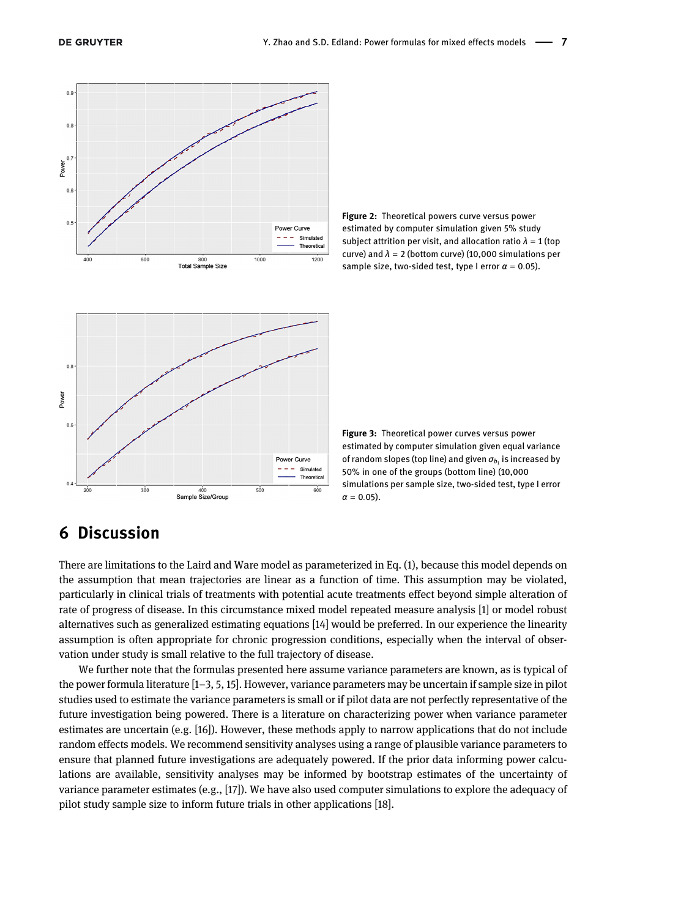

400

Sample Size/Group

<span id="page-6-1"></span><span id="page-6-0"></span>Figure 2: Theoretical powers curve versus power estimated by computer simulation given 5% study subject attrition per visit, and allocation ratio  $\lambda = 1$  (top curve) and  $\lambda = 2$  (bottom curve) (10,000 simulations per sample size, two-sided test, type I error  $\alpha = 0.05$ ).



### 6 Discussion

 $300$ 

There are limitations to the Laird and Ware model as parameterized in [Eq. \(1\)](#page-1-0), because this model depends on the assumption that mean trajectories are linear as a function of time. This assumption may be violated, particularly in clinical trials of treatments with potential acute treatments effect beyond simple alteration of rate of progress of disease. In this circumstance mixed model repeated measure analysis [\[1](#page-8-0)] or model robust alternatives such as generalized estimating equations [[14\]](#page-8-9) would be preferred. In our experience the linearity assumption is often appropriate for chronic progression conditions, especially when the interval of observation under study is small relative to the full trajectory of disease.

600

Power Curve  $- -$  Simulated

500

We further note that the formulas presented here assume variance parameters are known, as is typical of the power formula literature [1–[3, 5, 15\]](#page-8-0). However, variance parameters may be uncertain if sample size in pilot studies used to estimate the variance parameters is small or if pilot data are not perfectly representative of the future investigation being powered. There is a literature on characterizing power when variance parameter estimates are uncertain (e.g. [\[16\]](#page-8-10)). However, these methods apply to narrow applications that do not include random effects models. We recommend sensitivity analyses using a range of plausible variance parameters to ensure that planned future investigations are adequately powered. If the prior data informing power calculations are available, sensitivity analyses may be informed by bootstrap estimates of the uncertainty of variance parameter estimates (e.g., [\[17](#page-8-11)]). We have also used computer simulations to explore the adequacy of pilot study sample size to inform future trials in other applications [[18\]](#page-9-0).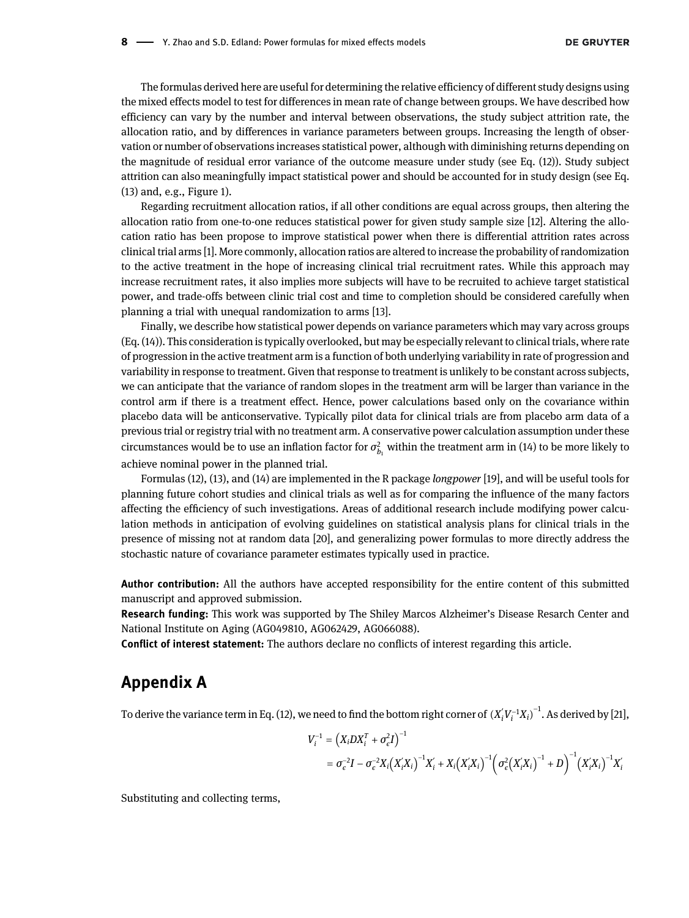The formulas derived here are useful for determining the relative efficiency of different study designs using the mixed effects model to test for differences in mean rate of change between groups. We have described how efficiency can vary by the number and interval between observations, the study subject attrition rate, the allocation ratio, and by differences in variance parameters between groups. Increasing the length of observation or number of observations increases statistical power, although with diminishing returns depending on the magnitude of residual error variance of the outcome measure under study (see [Eq. \(12\)](#page-2-2)). Study subject attrition can also meaningfully impact statistical power and should be accounted for in study design (see [Eq.](#page-3-0) [\(13\)](#page-3-0) and, e.g., [Figure 1\)](#page-5-1).

Regarding recruitment allocation ratios, if all other conditions are equal across groups, then altering the allocation ratio from one-to-one reduces statistical power for given study sample size [[12\]](#page-8-8). Altering the allocation ratio has been propose to improve statistical power when there is differential attrition rates across clinical trial arms [[1\]](#page-8-0). More commonly, allocation ratios are altered to increase the probability of randomization to the active treatment in the hope of increasing clinical trial recruitment rates. While this approach may increase recruitment rates, it also implies more subjects will have to be recruited to achieve target statistical power, and trade-offs between clinic trial cost and time to completion should be considered carefully when planning a trial with unequal randomization to arms [[13\]](#page-8-12).

Finally, we describe how statistical power depends on variance parameters which may vary across groups ([Eq. \(14\)](#page-3-1)). This consideration is typically overlooked, but may be especially relevant to clinical trials, where rate of progression in the active treatment arm is a function of both underlying variability in rate of progression and variability in response to treatment. Given that response to treatment is unlikely to be constant across subjects, we can anticipate that the variance of random slopes in the treatment arm will be larger than variance in the control arm if there is a treatment effect. Hence, power calculations based only on the covariance within placebo data will be anticonservative. Typically pilot data for clinical trials are from placebo arm data of a previous trial or registry trial with no treatment arm. A conservative power calculation assumption under these circumstances would be to use an inflation factor for  $\sigma_{b_1}^2$  within the treatment arm in [\(14\)](#page-3-1) to be more likely to achieve nominal power in the planned trial.

[Formulas \(12\)](#page-2-2), [\(13\),](#page-3-0) and [\(14\)](#page-3-1) are implemented in the R package longpower [[19\]](#page-9-1), and will be useful tools for planning future cohort studies and clinical trials as well as for comparing the influence of the many factors affecting the efficiency of such investigations. Areas of additional research include modifying power calculation methods in anticipation of evolving guidelines on statistical analysis plans for clinical trials in the presence of missing not at random data [\[20\]](#page-9-2), and generalizing power formulas to more directly address the stochastic nature of covariance parameter estimates typically used in practice.

Author contribution: All the authors have accepted responsibility for the entire content of this submitted manuscript and approved submission.

Research funding: This work was supported by The Shiley Marcos Alzheimer's Disease Resarch Center and National Institute on Aging (AG049810, AG062429, AG066088).

Conflict of interest statement: The authors declare no conflicts of interest regarding this article.

### Appendix A

To derive the variance term in [Eq. \(12\),](#page-2-2) we need to find the bottom right corner of  ${(X_i V_i^{-1}X_i)}^{-1}$ . As derived by [[21\]](#page-9-3),

$$
V_i^{-1} = (X_i DX_i^T + \sigma_e^2 I)^{-1}
$$
  
=  $\sigma_e^{-2}I - \sigma_e^{-2}X_i(X_i'X_i)^{-1}X_i' + X_i(X_i'X_i)^{-1}(\sigma_e^2(X_i'X_i)^{-1} + D)^{-1}(X_i'X_i)^{-1}X_i'$ 

Substituting and collecting terms,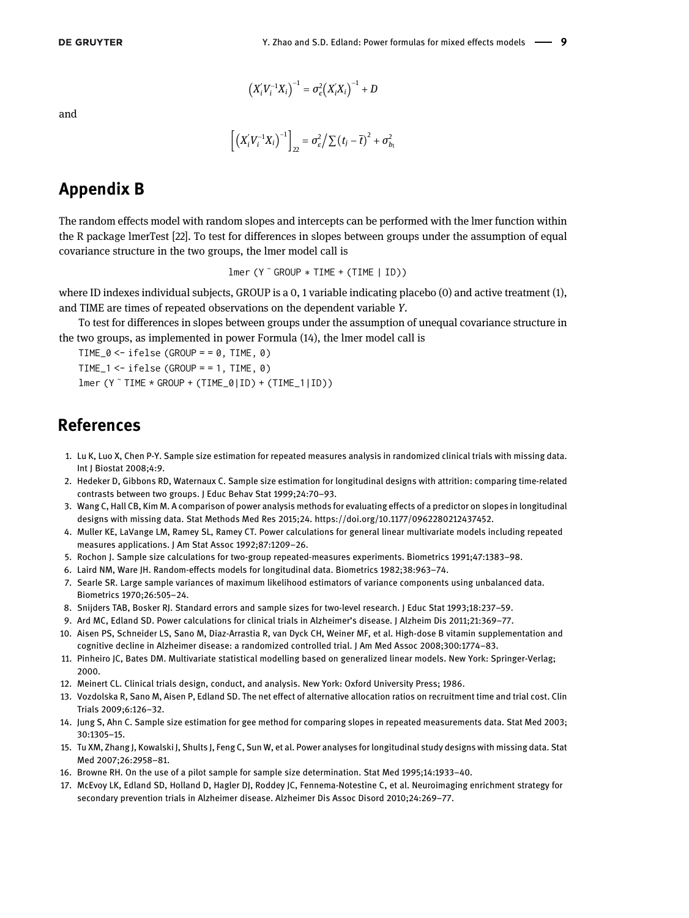and

$$
(X'_{i}V_{i}^{-1}X_{i})^{-1} = \sigma_{\epsilon}^{2}(X'_{i}X_{i})^{-1} + D
$$

$$
\left[ \left( X_i' V_i^{-1} X_i \right)^{-1} \right]_{22} = \sigma_{\epsilon}^2 / \sum \left( t_j - \overline{t} \right)^2 + \sigma_{b_1}^2
$$

# Appendix B

The random effects model with random slopes and intercepts can be performed with the lmer function within the R package lmerTest [\[22\]](#page-9-4). To test for differences in slopes between groups under the assumption of equal covariance structure in the two groups, the lmer model call is

$$
lmer (Y \text{ ^} GROUP * TIME + (TIME | ID))
$$

where ID indexes individual subjects, GROUP is a 0, 1 variable indicating placebo (0) and active treatment (1), and TIME are times of repeated observations on the dependent variable Y.

To test for differences in slopes between groups under the assumption of unequal covariance structure in the two groups, as implemented in power [Formula \(14\),](#page-3-1) the lmer model call is

```
TIME_0 \le i felse (GROUP = = 0, TIME, 0)
TIME_1 <- ifelse (GROUP = = 1, TIME, \theta)
lmer (Y ∼ TIME * GROUP + (TIME_0|ID) + (TIME_1|ID))
```
### References

- <span id="page-8-0"></span>1. Lu K, Luo X, Chen P-Y. Sample size estimation for repeated measures analysis in randomized clinical trials with missing data. Int J Biostat 2008;4:9.
- <span id="page-8-1"></span>2. Hedeker D, Gibbons RD, Waternaux C. Sample size estimation for longitudinal designs with attrition: comparing time-related contrasts between two groups. J Educ Behav Stat 1999;24:70–93.
- 3. Wang C, Hall CB, Kim M. A comparison of power analysis methods for evaluating effects of a predictor on slopes in longitudinal designs with missing data. Stat Methods Med Res 2015;24. [https://doi.org/10.1177/0962280212437452.](https://doi.org/10.1177/0962280212437452)
- 4. Muller KE, LaVange LM, Ramey SL, Ramey CT. Power calculations for general linear multivariate models including repeated measures applications. J Am Stat Assoc 1992;87:1209–26.
- 5. Rochon J. Sample size calculations for two-group repeated-measures experiments. Biometrics 1991;47:1383–98.
- <span id="page-8-3"></span><span id="page-8-2"></span>6. Laird NM, Ware JH. Random-effects models for longitudinal data. Biometrics 1982;38:963–74.
- 7. Searle SR. Large sample variances of maximum likelihood estimators of variance components using unbalanced data. Biometrics 1970;26:505–24.
- <span id="page-8-4"></span>8. Snijders TAB, Bosker RJ. Standard errors and sample sizes for two-level research. J Educ Stat 1993;18:237–59.
- <span id="page-8-5"></span>9. Ard MC, Edland SD. Power calculations for clinical trials in Alzheimer's disease. J Alzheim Dis 2011;21:369–77.
- <span id="page-8-6"></span>10. Aisen PS, Schneider LS, Sano M, Diaz-Arrastia R, van Dyck CH, Weiner MF, et al. High-dose B vitamin supplementation and cognitive decline in Alzheimer disease: a randomized controlled trial. J Am Med Assoc 2008;300:1774–83.
- <span id="page-8-7"></span>11. Pinheiro JC, Bates DM. Multivariate statistical modelling based on generalized linear models. New York: Springer-Verlag; 2000.
- <span id="page-8-8"></span>12. Meinert CL. Clinical trials design, conduct, and analysis. New York: Oxford University Press; 1986.
- <span id="page-8-12"></span>13. Vozdolska R, Sano M, Aisen P, Edland SD. The net effect of alternative allocation ratios on recruitment time and trial cost. Clin Trials 2009;6:126–32.
- <span id="page-8-9"></span>14. Jung S, Ahn C. Sample size estimation for gee method for comparing slopes in repeated measurements data. Stat Med 2003; 30:1305–15.
- 15. Tu XM, Zhang J, Kowalski J, Shults J, Feng C, Sun W, et al. Power analyses for longitudinal study designs with missing data. Stat Med 2007;26:2958–81.
- <span id="page-8-10"></span>16. Browne RH. On the use of a pilot sample for sample size determination. Stat Med 1995;14:1933–40.
- <span id="page-8-11"></span>17. McEvoy LK, Edland SD, Holland D, Hagler DJ, Roddey JC, Fennema-Notestine C, et al. Neuroimaging enrichment strategy for secondary prevention trials in Alzheimer disease. Alzheimer Dis Assoc Disord 2010;24:269–77.